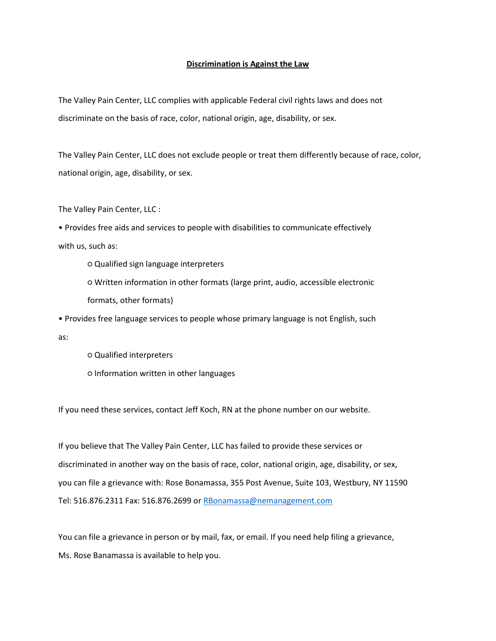## **Discrimination is Against the Law**

The Valley Pain Center, LLC complies with applicable Federal civil rights laws and does not discriminate on the basis of race, color, national origin, age, disability, or sex.

The Valley Pain Center, LLC does not exclude people or treat them differently because of race, color, national origin, age, disability, or sex.

The Valley Pain Center, LLC :

• Provides free aids and services to people with disabilities to communicate effectively with us, such as:

○ Qualified sign language interpreters

○ Written information in other formats (large print, audio, accessible electronic formats, other formats)

• Provides free language services to people whose primary language is not English, such as:

○ Qualified interpreters ○ Information written in other languages

If you need these services, contact Jeff Koch, RN at the phone number on our website.

If you believe that The Valley Pain Center, LLC has failed to provide these services or discriminated in another way on the basis of race, color, national origin, age, disability, or sex, you can file a grievance with: Rose Bonamassa, 355 Post Avenue, Suite 103, Westbury, NY 11590 Tel: 516.876.2311 Fax: 516.876.2699 or [RBonamassa@nemanagement.com](mailto:RBonamassa@nemanagement.com)

You can file a grievance in person or by mail, fax, or email. If you need help filing a grievance, Ms. Rose Banamassa is available to help you.